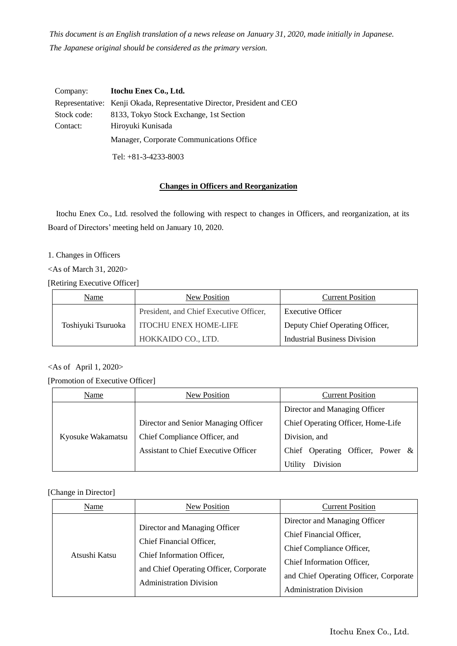*This document is an English translation of a news release on January 31, 2020, made initially in Japanese. The Japanese original should be considered as the primary version.*

| Company:    | Itochu Enex Co., Ltd.                                                   |
|-------------|-------------------------------------------------------------------------|
|             | Representative: Kenji Okada, Representative Director, President and CEO |
| Stock code: | 8133, Tokyo Stock Exchange, 1st Section                                 |
| Contact:    | Hiroyuki Kunisada                                                       |
|             | Manager, Corporate Communications Office                                |
|             | Tel: $+81-3-4233-8003$                                                  |

## **Changes in Officers and Reorganization**

Itochu Enex Co., Ltd. resolved the following with respect to changes in Officers, and reorganization, at its Board of Directors' meeting held on January 10, 2020.

1. Changes in Officers

<As of March 31, 2020>

[Retiring Executive Officer]

| Name               | New Position                            | <b>Current Position</b>         |
|--------------------|-----------------------------------------|---------------------------------|
|                    | President, and Chief Executive Officer, | <b>Executive Officer</b>        |
| Toshiyuki Tsuruoka | <b>ITOCHU ENEX HOME-LIFE</b>            | Deputy Chief Operating Officer, |
|                    | HOKKAIDO CO., LTD.                      | Industrial Business Division    |

# <As of April 1, 2020>

[Promotion of Executive Officer]

| Name              | New Position                                | <b>Current Position</b>             |
|-------------------|---------------------------------------------|-------------------------------------|
|                   |                                             | Director and Managing Officer       |
|                   | Director and Senior Managing Officer        | Chief Operating Officer, Home-Life  |
| Kyosuke Wakamatsu | Chief Compliance Officer, and               | Division, and                       |
|                   | <b>Assistant to Chief Executive Officer</b> | Chief Operating Officer, Power $\&$ |
|                   |                                             | Division<br>Utility                 |

[Change in Director]

| Name          | New Position                                                                                                                                                        | <b>Current Position</b>                                                                                                                                                                          |
|---------------|---------------------------------------------------------------------------------------------------------------------------------------------------------------------|--------------------------------------------------------------------------------------------------------------------------------------------------------------------------------------------------|
| Atsushi Katsu | Director and Managing Officer<br>Chief Financial Officer,<br>Chief Information Officer,<br>and Chief Operating Officer, Corporate<br><b>Administration Division</b> | Director and Managing Officer<br>Chief Financial Officer,<br>Chief Compliance Officer,<br>Chief Information Officer,<br>and Chief Operating Officer, Corporate<br><b>Administration Division</b> |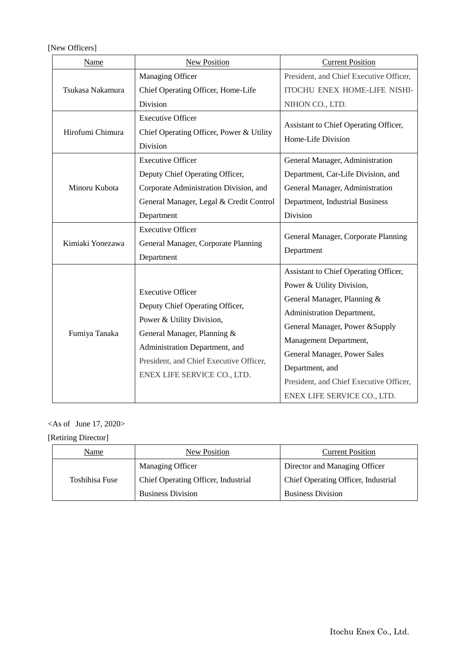[New Officers]

| Name             | New Position                                                                                                                                                                                                                        | <b>Current Position</b>                                                                                                                                                                                                                                                                                                   |
|------------------|-------------------------------------------------------------------------------------------------------------------------------------------------------------------------------------------------------------------------------------|---------------------------------------------------------------------------------------------------------------------------------------------------------------------------------------------------------------------------------------------------------------------------------------------------------------------------|
| Tsukasa Nakamura | Managing Officer<br>Chief Operating Officer, Home-Life<br>Division                                                                                                                                                                  | President, and Chief Executive Officer,<br>ITOCHU ENEX HOME-LIFE NISHI-<br>NIHON CO., LTD.                                                                                                                                                                                                                                |
| Hirofumi Chimura | <b>Executive Officer</b><br>Chief Operating Officer, Power & Utility<br>Division                                                                                                                                                    | Assistant to Chief Operating Officer,<br>Home-Life Division                                                                                                                                                                                                                                                               |
| Minoru Kubota    | <b>Executive Officer</b><br>Deputy Chief Operating Officer,<br>Corporate Administration Division, and<br>General Manager, Legal & Credit Control<br>Department                                                                      | General Manager, Administration<br>Department, Car-Life Division, and<br>General Manager, Administration<br>Department, Industrial Business<br>Division                                                                                                                                                                   |
| Kimiaki Yonezawa | <b>Executive Officer</b><br>General Manager, Corporate Planning<br>Department                                                                                                                                                       | General Manager, Corporate Planning<br>Department                                                                                                                                                                                                                                                                         |
| Fumiya Tanaka    | <b>Executive Officer</b><br>Deputy Chief Operating Officer,<br>Power & Utility Division,<br>General Manager, Planning &<br>Administration Department, and<br>President, and Chief Executive Officer,<br>ENEX LIFE SERVICE CO., LTD. | Assistant to Chief Operating Officer,<br>Power & Utility Division,<br>General Manager, Planning &<br>Administration Department,<br>General Manager, Power & Supply<br>Management Department,<br>General Manager, Power Sales<br>Department, and<br>President, and Chief Executive Officer,<br>ENEX LIFE SERVICE CO., LTD. |

 $\langle As\ of\ June\ 17, 2020 \rangle$ 

[Retiring Director]

| Name           | New Position                        | <b>Current Position</b>             |
|----------------|-------------------------------------|-------------------------------------|
| Toshihisa Fuse | <b>Managing Officer</b>             | Director and Managing Officer       |
|                | Chief Operating Officer, Industrial | Chief Operating Officer, Industrial |
|                | <b>Business Division</b>            | <b>Business Division</b>            |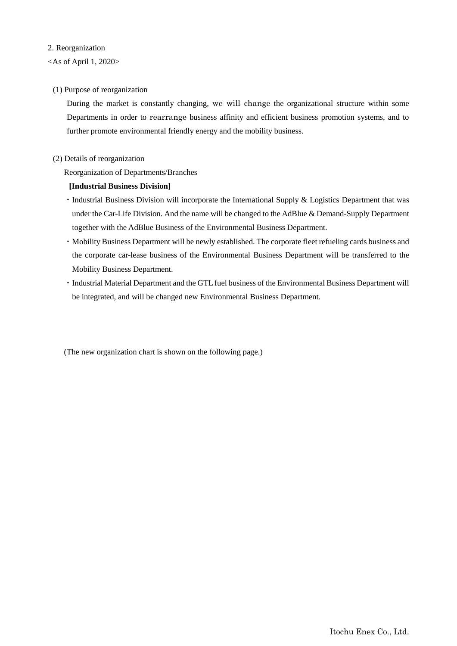### 2. Reorganization

## $\langle$ As of April 1, 2020 $>$

### (1) Purpose of reorganization

During the market is constantly changing, we will change the organizational structure within some Departments in order to rearrange business affinity and efficient business promotion systems, and to further promote environmental friendly energy and the mobility business.

### (2) Details of reorganization

Reorganization of Departments/Branches

## **[Industrial Business Division]**

- ・Industrial Business Division will incorporate the International Supply & Logistics Department that was under the Car-Life Division. And the name will be changed to the AdBlue & Demand-Supply Department together with the AdBlue Business of the Environmental Business Department.
- ・Mobility Business Department will be newly established. The corporate fleet refueling cards business and the corporate car-lease business of the Environmental Business Department will be transferred to the Mobility Business Department.
- ・Industrial Material Department and the GTL fuel business of the Environmental Business Department will be integrated, and will be changed new Environmental Business Department.

(The new organization chart is shown on the following page.)